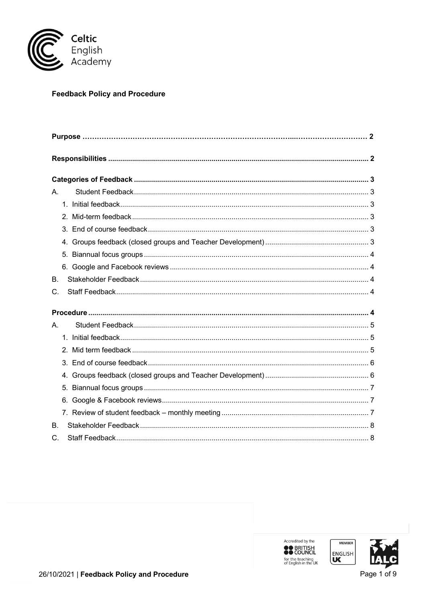

# **Feedback Policy and Procedure**

| А.        |                |  |
|-----------|----------------|--|
|           |                |  |
|           | 2 <sub>1</sub> |  |
|           |                |  |
|           | 4.             |  |
|           | 5.             |  |
|           | 6.             |  |
| <b>B.</b> |                |  |
| C.        |                |  |
|           |                |  |
|           |                |  |
| Α.        |                |  |
|           |                |  |
|           |                |  |
|           |                |  |
|           |                |  |
|           | 5.             |  |
|           |                |  |
|           |                |  |
| Β.        |                |  |
| C.        |                |  |

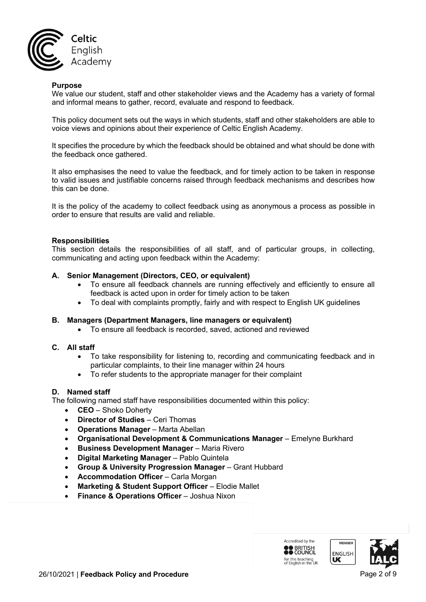

### **Purpose**

We value our student, staff and other stakeholder views and the Academy has a variety of formal and informal means to gather, record, evaluate and respond to feedback.

This policy document sets out the ways in which students, staff and other stakeholders are able to voice views and opinions about their experience of Celtic English Academy.

It specifies the procedure by which the feedback should be obtained and what should be done with the feedback once gathered.

It also emphasises the need to value the feedback, and for timely action to be taken in response to valid issues and justifiable concerns raised through feedback mechanisms and describes how this can be done.

It is the policy of the academy to collect feedback using as anonymous a process as possible in order to ensure that results are valid and reliable.

### **Responsibilities**

This section details the responsibilities of all staff, and of particular groups, in collecting, communicating and acting upon feedback within the Academy:

### **A. Senior Management (Directors, CEO, or equivalent)**

- To ensure all feedback channels are running effectively and efficiently to ensure all feedback is acted upon in order for timely action to be taken
- To deal with complaints promptly, fairly and with respect to English UK guidelines

### **B. Managers (Department Managers, line managers or equivalent)**

• To ensure all feedback is recorded, saved, actioned and reviewed

### **C. All staff**

- To take responsibility for listening to, recording and communicating feedback and in particular complaints, to their line manager within 24 hours
- To refer students to the appropriate manager for their complaint

### **D. Named staff**

The following named staff have responsibilities documented within this policy:

- **CEO** Shoko Doherty
- **Director of Studies** Ceri Thomas
- **Operations Manager** Marta Abellan
- **Organisational Development & Communications Manager** Emelyne Burkhard
- **Business Development Manager** Maria Rivero
- **Digital Marketing Manager**  Pablo Quintela
- **Group & University Progression Manager** Grant Hubbard
- **Accommodation Officer** Carla Morgan
- **Marketing & Student Support Officer** Elodie Mallet
- **Finance & Operations Officer**  Joshua Nixon

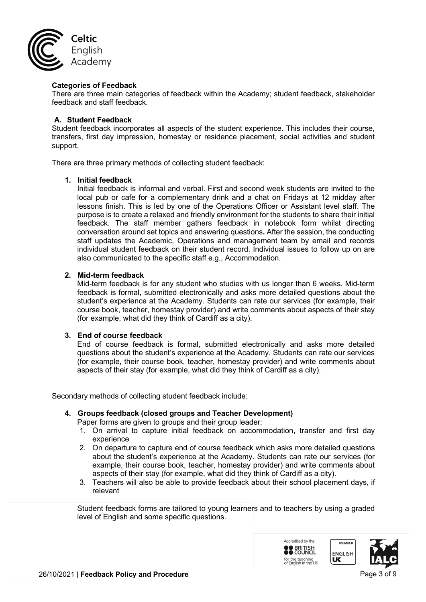

### **Categories of Feedback**

There are three main categories of feedback within the Academy; student feedback, stakeholder feedback and staff feedback.

### **A. Student Feedback**

Student feedback incorporates all aspects of the student experience. This includes their course, transfers, first day impression, homestay or residence placement, social activities and student support.

There are three primary methods of collecting student feedback:

### **1. Initial feedback**

Initial feedback is informal and verbal. First and second week students are invited to the local pub or cafe for a complementary drink and a chat on Fridays at 12 midday after lessons finish. This is led by one of the Operations Officer or Assistant level staff. The purpose is to create a relaxed and friendly environment for the students to share their initial feedback. The staff member gathers feedback in notebook form whilst directing conversation around set topics and answering questions**.** After the session, the conducting staff updates the Academic, Operations and management team by email and records individual student feedback on their student record. Individual issues to follow up on are also communicated to the specific staff e.g., Accommodation.

### **2. Mid-term feedback**

Mid-term feedback is for any student who studies with us longer than 6 weeks. Mid-term feedback is formal, submitted electronically and asks more detailed questions about the student's experience at the Academy. Students can rate our services (for example, their course book, teacher, homestay provider) and write comments about aspects of their stay (for example, what did they think of Cardiff as a city).

### **3. End of course feedback**

End of course feedback is formal, submitted electronically and asks more detailed questions about the student's experience at the Academy. Students can rate our services (for example, their course book, teacher, homestay provider) and write comments about aspects of their stay (for example, what did they think of Cardiff as a city).

Secondary methods of collecting student feedback include:

### **4. Groups feedback (closed groups and Teacher Development)**

- Paper forms are given to groups and their group leader:
- 1. On arrival to capture initial feedback on accommodation, transfer and first day experience
- 2. On departure to capture end of course feedback which asks more detailed questions about the student's experience at the Academy. Students can rate our services (for example, their course book, teacher, homestay provider) and write comments about aspects of their stay (for example, what did they think of Cardiff as a city).
- 3. Teachers will also be able to provide feedback about their school placement days, if relevant

Student feedback forms are tailored to young learners and to teachers by using a graded level of English and some specific questions.

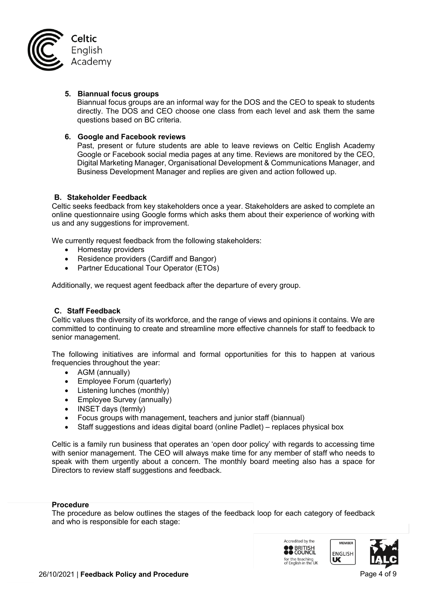

### **5. Biannual focus groups**

Biannual focus groups are an informal way for the DOS and the CEO to speak to students directly. The DOS and CEO choose one class from each level and ask them the same questions based on BC criteria.

### **6. Google and Facebook reviews**

Past, present or future students are able to leave reviews on Celtic English Academy Google or Facebook social media pages at any time. Reviews are monitored by the CEO, Digital Marketing Manager, Organisational Development & Communications Manager, and Business Development Manager and replies are given and action followed up.

### **B. Stakeholder Feedback**

Celtic seeks feedback from key stakeholders once a year. Stakeholders are asked to complete an online questionnaire using Google forms which asks them about their experience of working with us and any suggestions for improvement.

We currently request feedback from the following stakeholders:

- Homestay providers
- Residence providers (Cardiff and Bangor)
- Partner Educational Tour Operator (ETOs)

Additionally, we request agent feedback after the departure of every group.

# **C. Staff Feedback**

Celtic values the diversity of its workforce, and the range of views and opinions it contains. We are committed to continuing to create and streamline more effective channels for staff to feedback to senior management.

The following initiatives are informal and formal opportunities for this to happen at various frequencies throughout the year:

- AGM (annually)
- Employee Forum (quarterly)
- Listening lunches (monthly)
- Employee Survey (annually)
- INSET days (termly)
- Focus groups with management, teachers and junior staff (biannual)
- Staff suggestions and ideas digital board (online Padlet) replaces physical box

Celtic is a family run business that operates an 'open door policy' with regards to accessing time with senior management. The CEO will always make time for any member of staff who needs to speak with them urgently about a concern. The monthly board meeting also has a space for Directors to review staff suggestions and feedback.

#### **Procedure**

The procedure as below outlines the stages of the feedback loop for each category of feedback and who is responsible for each stage:

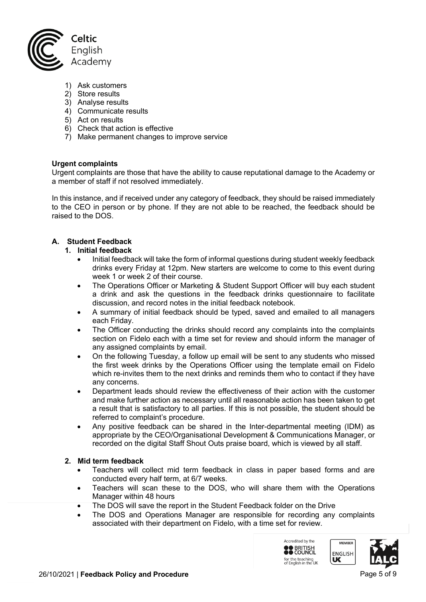

- 1) Ask customers
- 2) Store results
- 3) Analyse results
- 4) Communicate results
- 5) Act on results
- 6) Check that action is effective
- 7) Make permanent changes to improve service

### **Urgent complaints**

Urgent complaints are those that have the ability to cause reputational damage to the Academy or a member of staff if not resolved immediately.

In this instance, and if received under any category of feedback, they should be raised immediately to the CEO in person or by phone. If they are not able to be reached, the feedback should be raised to the DOS.

# **A. Student Feedback**

### **1. Initial feedback**

- Initial feedback will take the form of informal questions during student weekly feedback drinks every Friday at 12pm. New starters are welcome to come to this event during week 1 or week 2 of their course.
- The Operations Officer or Marketing & Student Support Officer will buy each student a drink and ask the questions in the feedback drinks questionnaire to facilitate discussion, and record notes in the initial feedback notebook.
- A summary of initial feedback should be typed, saved and emailed to all managers each Friday.
- The Officer conducting the drinks should record any complaints into the complaints section on Fidelo each with a time set for review and should inform the manager of any assigned complaints by email.
- On the following Tuesday, a follow up email will be sent to any students who missed the first week drinks by the Operations Officer using the template email on Fidelo which re-invites them to the next drinks and reminds them who to contact if they have any concerns.
- Department leads should review the effectiveness of their action with the customer and make further action as necessary until all reasonable action has been taken to get a result that is satisfactory to all parties. If this is not possible, the student should be referred to complaint's procedure.
- Any positive feedback can be shared in the Inter-departmental meeting (IDM) as appropriate by the CEO/Organisational Development & Communications Manager, or recorded on the digital Staff Shout Outs praise board, which is viewed by all staff.

### **2. Mid term feedback**

- Teachers will collect mid term feedback in class in paper based forms and are conducted every half term, at 6/7 weeks.
- Teachers will scan these to the DOS, who will share them with the Operations Manager within 48 hours
- The DOS will save the report in the Student Feedback folder on the Drive
- The DOS and Operations Manager are responsible for recording any complaints associated with their department on Fidelo, with a time set for review.



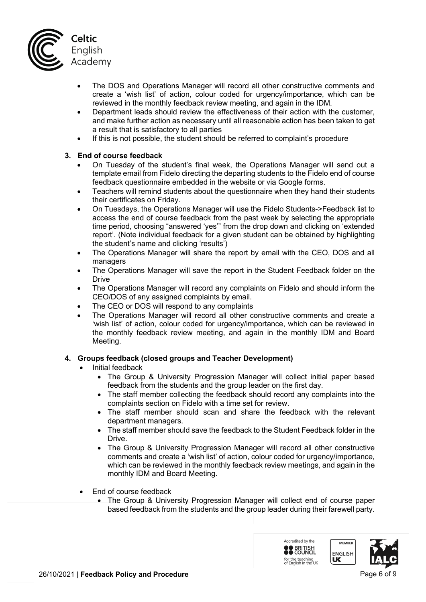

- The DOS and Operations Manager will record all other constructive comments and create a 'wish list' of action, colour coded for urgency/importance, which can be reviewed in the monthly feedback review meeting, and again in the IDM.
- Department leads should review the effectiveness of their action with the customer, and make further action as necessary until all reasonable action has been taken to get a result that is satisfactory to all parties
- If this is not possible, the student should be referred to complaint's procedure

# **3. End of course feedback**

- On Tuesday of the student's final week, the Operations Manager will send out a template email from Fidelo directing the departing students to the Fidelo end of course feedback questionnaire embedded in the website or via Google forms.
- Teachers will remind students about the questionnaire when they hand their students their certificates on Friday.
- On Tuesdays, the Operations Manager will use the Fidelo Students->Feedback list to access the end of course feedback from the past week by selecting the appropriate time period, choosing "answered 'yes'" from the drop down and clicking on 'extended report'. (Note individual feedback for a given student can be obtained by highlighting the student's name and clicking 'results')
- The Operations Manager will share the report by email with the CEO, DOS and all managers
- The Operations Manager will save the report in the Student Feedback folder on the **Drive**
- The Operations Manager will record any complaints on Fidelo and should inform the CEO/DOS of any assigned complaints by email.
- The CEO or DOS will respond to any complaints
- The Operations Manager will record all other constructive comments and create a 'wish list' of action, colour coded for urgency/importance, which can be reviewed in the monthly feedback review meeting, and again in the monthly IDM and Board Meeting.

# **4. Groups feedback (closed groups and Teacher Development)**

- Initial feedback
	- The Group & University Progression Manager will collect initial paper based feedback from the students and the group leader on the first day.
	- The staff member collecting the feedback should record any complaints into the complaints section on Fidelo with a time set for review.
	- The staff member should scan and share the feedback with the relevant department managers.
	- The staff member should save the feedback to the Student Feedback folder in the Drive.
	- The Group & University Progression Manager will record all other constructive comments and create a 'wish list' of action, colour coded for urgency/importance, which can be reviewed in the monthly feedback review meetings, and again in the monthly IDM and Board Meeting.
- End of course feedback
	- The Group & University Progression Manager will collect end of course paper based feedback from the students and the group leader during their farewell party.

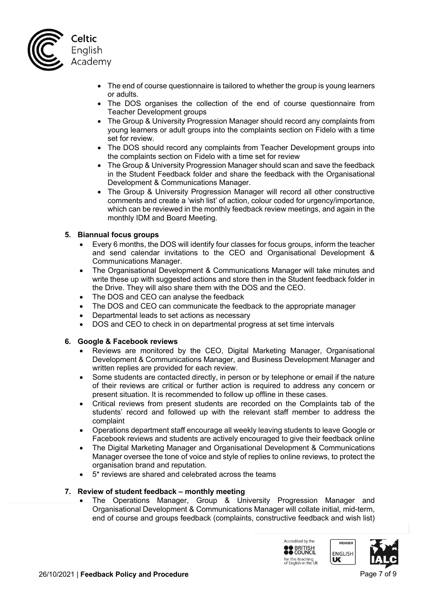

- The end of course questionnaire is tailored to whether the group is young learners or adults.
- The DOS organises the collection of the end of course questionnaire from Teacher Development groups
- The Group & University Progression Manager should record any complaints from young learners or adult groups into the complaints section on Fidelo with a time set for review.
- The DOS should record any complaints from Teacher Development groups into the complaints section on Fidelo with a time set for review
- The Group & University Progression Manager should scan and save the feedback in the Student Feedback folder and share the feedback with the Organisational Development & Communications Manager.
- The Group & University Progression Manager will record all other constructive comments and create a 'wish list' of action, colour coded for urgency/importance, which can be reviewed in the monthly feedback review meetings, and again in the monthly IDM and Board Meeting.

# **5. Biannual focus groups**

- Every 6 months, the DOS will identify four classes for focus groups, inform the teacher and send calendar invitations to the CEO and Organisational Development & Communications Manager.
- The Organisational Development & Communications Manager will take minutes and write these up with suggested actions and store then in the Student feedback folder in the Drive. They will also share them with the DOS and the CEO.
- The DOS and CEO can analyse the feedback
- The DOS and CEO can communicate the feedback to the appropriate manager
- Departmental leads to set actions as necessary
- DOS and CEO to check in on departmental progress at set time intervals

# **6. Google & Facebook reviews**

- Reviews are monitored by the CEO, Digital Marketing Manager, Organisational Development & Communications Manager, and Business Development Manager and written replies are provided for each review.
- Some students are contacted directly, in person or by telephone or email if the nature of their reviews are critical or further action is required to address any concern or present situation. It is recommended to follow up offline in these cases.
- Critical reviews from present students are recorded on the Complaints tab of the students' record and followed up with the relevant staff member to address the complaint
- Operations department staff encourage all weekly leaving students to leave Google or Facebook reviews and students are actively encouraged to give their feedback online
- The Digital Marketing Manager and Organisational Development & Communications Manager oversee the tone of voice and style of replies to online reviews, to protect the organisation brand and reputation.
- 5\* reviews are shared and celebrated across the teams

# **7. Review of student feedback – monthly meeting**

• The Operations Manager, Group & University Progression Manager and Organisational Development & Communications Manager will collate initial, mid-term, end of course and groups feedback (complaints, constructive feedback and wish list)

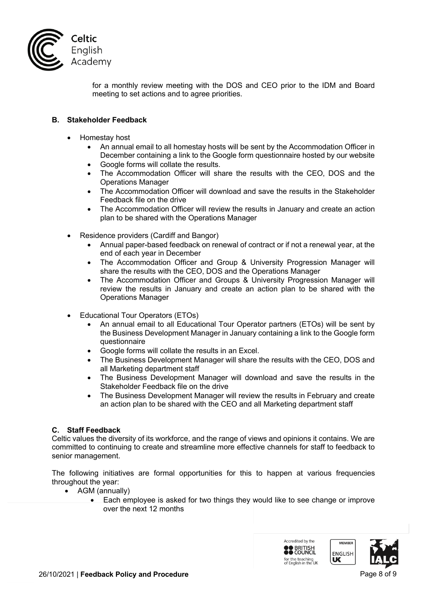

for a monthly review meeting with the DOS and CEO prior to the IDM and Board meeting to set actions and to agree priorities.

## **B. Stakeholder Feedback**

- Homestay host
	- An annual email to all homestay hosts will be sent by the Accommodation Officer in December containing a link to the Google form questionnaire hosted by our website
	- Google forms will collate the results.
	- The Accommodation Officer will share the results with the CEO, DOS and the Operations Manager
	- The Accommodation Officer will download and save the results in the Stakeholder Feedback file on the drive
	- The Accommodation Officer will review the results in January and create an action plan to be shared with the Operations Manager
- Residence providers (Cardiff and Bangor)
	- Annual paper-based feedback on renewal of contract or if not a renewal year, at the end of each year in December
	- The Accommodation Officer and Group & University Progression Manager will share the results with the CEO, DOS and the Operations Manager
	- The Accommodation Officer and Groups & University Progression Manager will review the results in January and create an action plan to be shared with the Operations Manager
- Educational Tour Operators (ETOs)
	- An annual email to all Educational Tour Operator partners (ETOs) will be sent by the Business Development Manager in January containing a link to the Google form questionnaire
	- Google forms will collate the results in an Excel.
	- The Business Development Manager will share the results with the CEO, DOS and all Marketing department staff
	- The Business Development Manager will download and save the results in the Stakeholder Feedback file on the drive
	- The Business Development Manager will review the results in February and create an action plan to be shared with the CEO and all Marketing department staff

### **C. Staff Feedback**

Celtic values the diversity of its workforce, and the range of views and opinions it contains. We are committed to continuing to create and streamline more effective channels for staff to feedback to senior management.

The following initiatives are formal opportunities for this to happen at various frequencies throughout the year:

- AGM (annually)
	- Each employee is asked for two things they would like to see change or improve over the next 12 months